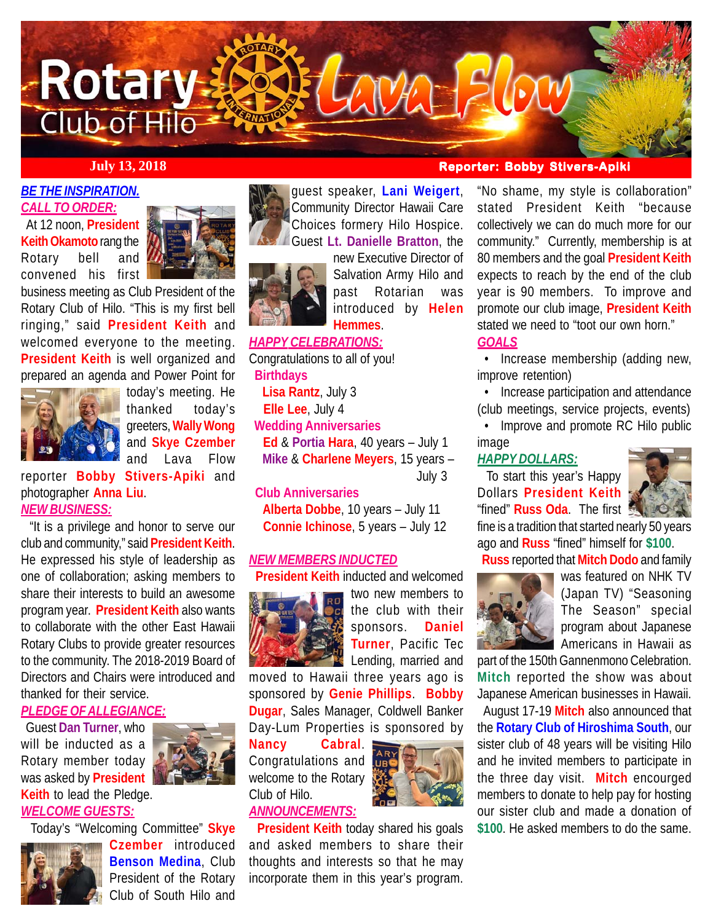

*BE THE INSPIRATION. CALL TO ORDER:*

 At 12 noon, **President Keith Okamoto** rang the Rotary bell and convened his first



business meeting as Club President of the Rotary Club of Hilo. "This is my first bell ringing," said **President Keith** and welcomed everyone to the meeting. **President Keith** is well organized and prepared an agenda and Power Point for



today's meeting. He thanked today's greeters, **Wally Wong** and **Skye Czember** and Lava Flow

reporter **Bobby Stivers-Apiki** and photographer **Anna Liu**. *NEW BUSINESS:*

 "It is a privilege and honor to serve our club and community," said **President Keith**. He expressed his style of leadership as one of collaboration; asking members to share their interests to build an awesome program year. **President Keith** also wants to collaborate with the other East Hawaii Rotary Clubs to provide greater resources to the community. The 2018-2019 Board of Directors and Chairs were introduced and thanked for their service.

### *PLEDGE OF ALLEGIANCE:*

 Guest **Dan Turner**, who will be inducted as a Rotary member today was asked by **President Keith** to lead the Pledge. *WELCOME GUESTS:*



Today's "Welcoming Committee" **Skye**



**Czember** introduced **Benson Medina**, Club President of the Rotary Club of South Hilo and



**Hemmes**.



new Executive Director of Salvation Army Hilo and past Rotarian was introduced by **Helen**

# *HAPPY CELEBRATIONS:*

Congratulations to all of you!  **Birthdays Lisa Rantz**, July 3  **Elle Lee**, July 4  **Wedding Anniversaries Ed** & **Portia Hara**, 40 years – July 1 **Mike** & **Charlene Meyers**, 15 years – July 3 **Club Anniversaries**

 **Alberta Dobbe**, 10 years – July 11 **Connie Ichinose**, 5 years – July 12

### *NEW MEMBERS INDUCTED*

**President Keith** inducted and welcomed



the club with their sponsors. **Daniel Turner**, Pacific Tec Lending, married and

two new members to

moved to Hawaii three years ago is sponsored by **Genie Phillips**. **Bobby Dugar**, Sales Manager, Coldwell Banker Day-Lum Properties is sponsored by

**Nancy Cabral**. Congratulations and welcome to the Rotary Club of Hilo. *ANNOUNCEMENTS:*



 **President Keith** today shared his goals and asked members to share their thoughts and interests so that he may incorporate them in this year's program.

# **July 13, 2018 Reporter: Bobby Stivers-Apiki**

"No shame, my style is collaboration" stated President Keith "because collectively we can do much more for our community." Currently, membership is at 80 members and the goal **President Keith** expects to reach by the end of the club year is 90 members. To improve and promote our club image, **President Keith** stated we need to "toot our own horn."

### *GOALS*

 • Increase membership (adding new, improve retention)

 • Increase participation and attendance (club meetings, service projects, events)

 • Improve and promote RC Hilo public image

## *HAPPY DOLLARS:*

 To start this year's Happy Dollars **President Keith** "fined" **Russ Oda**. The first



fine is a tradition that started nearly 50 years ago and **Russ** "fined" himself for **\$100**.

**Russ** reported that **Mitch Dodo** and family



was featured on NHK TV (Japan TV) "Seasoning The Season" special program about Japanese Americans in Hawaii as

part of the 150th Gannenmono Celebration. **Mitch** reported the show was about Japanese American businesses in Hawaii.

 August 17-19 **Mitch** also announced that the **Rotary Club of Hiroshima South**, our sister club of 48 years will be visiting Hilo and he invited members to participate in the three day visit. **Mitch** encourged members to donate to help pay for hosting our sister club and made a donation of **\$100**. He asked members to do the same.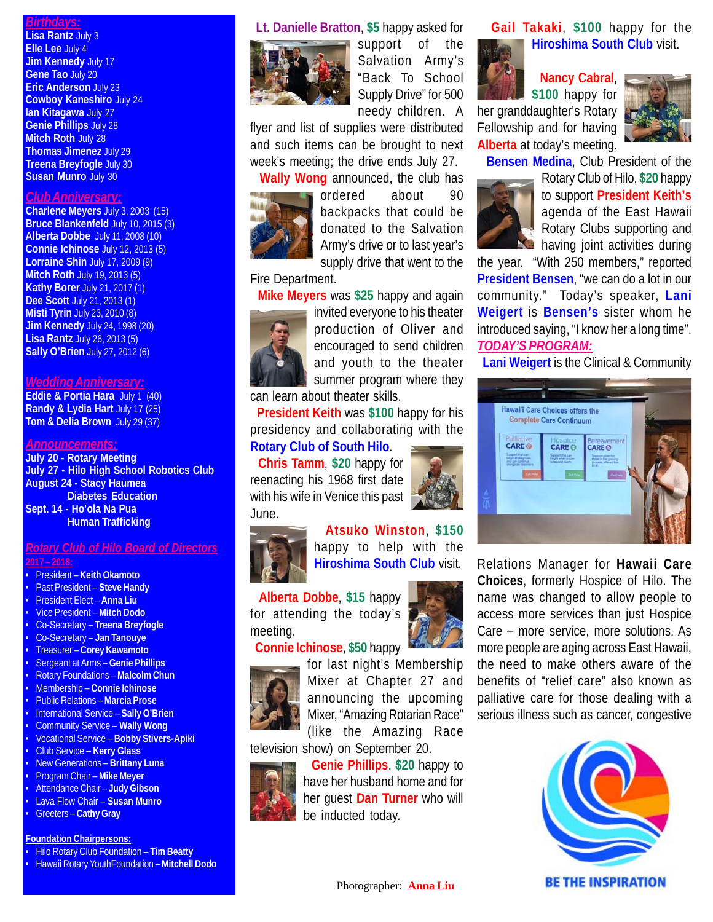### *Birthdays:*

**Lisa Rantz** July 3 **Elle Lee** July 4 **Jim Kennedy** July 17 **Gene Tao** July 20 **Eric Anderson** July 23 **Cowboy Kaneshiro** July 24 **Ian Kitagawa** July 27 **Genie Phillips** July 28 **Mitch Roth July 28 Thomas Jimenez** July 29 **Treena Breyfogle** July 30 **Susan Munro** July 30

### *Club Anniversary:*

**Charlene Meyers** July 3, 2003 (15) **Bruce Blankenfeld** July 10, 2015 (3) **Alberta Dobbe** July 11, 2008 (10) **Connie Ichinose** July 12, 2013 (5) **Lorraine Shin** July 17, 2009 (9) **Mitch Roth** July 19, 2013 (5) **Kathy Borer July 21, 2017 (1) Dee Scott** July 21, 2013 (1) **Misti Tyrin** July 23, 2010 (8) **Jim Kennedy** July 24, 1998 (20) **Lisa Rantz** July 26, 2013 (5) **Sally O'Brien** July 27, 2012 (6)

#### *Wedding Anniversary:*

**Eddie & Portia Hara** July 1 (40) **Randy & Lydia Hart** July 17 (25) **Tom & Delia Brown** July 29 (37)

#### *Announcements:*

**July 20 - Rotary Meeting July 27 - Hilo High School Robotics Club August 24 - Stacy Haumea Diabetes Education Sept. 14 - Ho'ola Na Pua Human Trafficking**

# *Rotary Club of Hilo Board of Directors*

**2017 – 2018:**

- President **Keith Okamoto** • Past President – **Steve Handy** • President Elect – **Anna Liu** • Vice President – **Mitch Dodo** • Co-Secretary – **Treena Breyfogle** • Co-Secretary – **Jan Tanouye** • Treasurer – **Corey Kawamoto** • Sergeant at Arms – **Genie Phillips** • Rotary Foundations – **Malcolm Chun** • Membership – **Connie Ichinose** • Public Relations – **Marcia Prose** • International Service – **Sally O'Brien** • Community Service – **Wally Wong** • Vocational Service – **Bobby Stivers-Apiki** • Club Service – **Kerry Glass** • New Generations – **Brittany Luna** • Program Chair – **Mike Meyer** • Attendance Chair – **Judy Gibson**
- Lava Flow Chair **Susan Munro**
- Greeters **Cathy Gray**

### **Foundation Chairpersons:**

- Hilo Rotary Club Foundation **Tim Beatty**
- Hawaii Rotary YouthFoundation **Mitchell Dodo**

### **Lt. Danielle Bratton**, **\$5** happy asked for



support of the Salvation Army's "Back To School Supply Drive" for 500 needy children. A

flyer and list of supplies were distributed and such items can be brought to next week's meeting; the drive ends July 27.



 **Wally Wong** announced, the club has ordered about 90 backpacks that could be donated to the Salvation Army's drive or to last year's supply drive that went to the

### Fire Department.

**Mike Meyers** was **\$25** happy and again



invited everyone to his theater production of Oliver and encouraged to send children and youth to the theater summer program where they

can learn about theater skills. **President Keith** was **\$100** happy for his presidency and collaborating with the

# **Rotary Club of South Hilo**.

 **Chris Tamm**, **\$20** happy for reenacting his 1968 first date with his wife in Venice this past June.



 **Atsuko Winston**, **\$150** happy to help with the **Hiroshima South Club** visit.

 **Alberta Dobbe**, **\$15** happy for attending the today's meeting. **Connie Ichinose**, **\$50** happy



for last night's Membership Mixer at Chapter 27 and announcing the upcoming Mixer, "Amazing Rotarian Race" (like the Amazing Race television show) on September 20.



 **Genie Phillips**, **\$20** happy to have her husband home and for her guest **Dan Turner** who will be inducted today.

 **Gail Takaki**, **\$100** happy for the **Hiroshima South Club** visit.

**Nancy Cabral**,

**\$100** happy for her granddaughter's Rotary Fellowship and for having **Alberta** at today's meeting.



**Bensen Medina**, Club President of the



Rotary Club of Hilo, **\$20** happy to support **President Keith's** agenda of the East Hawaii Rotary Clubs supporting and **No** having joint activities during

the year. "With 250 members," reported **President Bensen**, "we can do a lot in our community." Today's speaker, **Lani Weigert** is **Bensen's** sister whom he introduced saying, "I know her a long time". *TODAY'S PROGRAM:*

**Lani Weigert** is the Clinical & Community



Relations Manager for **Hawaii Care Choices**, formerly Hospice of Hilo. The name was changed to allow people to access more services than just Hospice Care – more service, more solutions. As more people are aging across East Hawaii, the need to make others aware of the benefits of "relief care" also known as palliative care for those dealing with a serious illness such as cancer, congestive